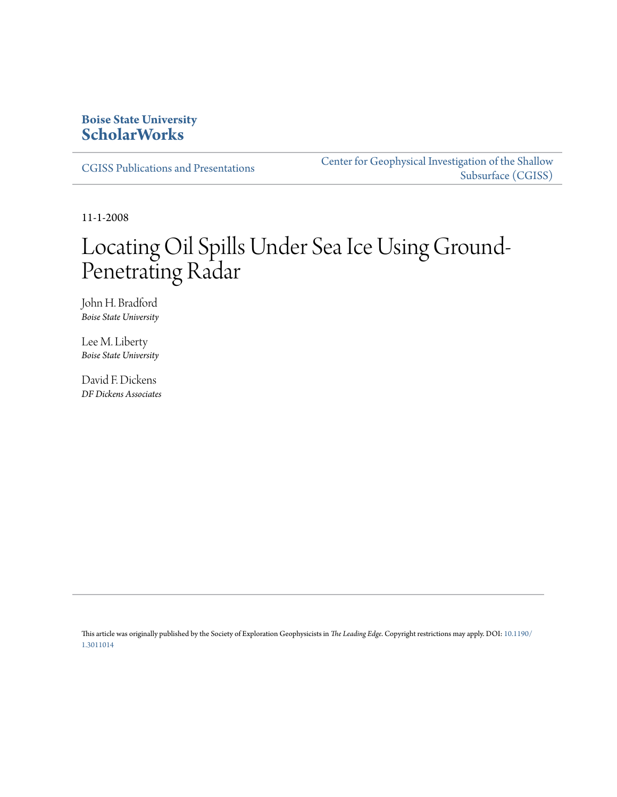### **Boise State University [ScholarWorks](https://scholarworks.boisestate.edu)**

[CGISS Publications and Presentations](https://scholarworks.boisestate.edu/cgiss_facpubs)

[Center for Geophysical Investigation of the Shallow](https://scholarworks.boisestate.edu/cgiss) [Subsurface \(CGISS\)](https://scholarworks.boisestate.edu/cgiss)

11-1-2008

# Locating Oil Spills Under Sea Ice Using Ground-Penetrating Radar

John H. Bradford *Boise State University*

Lee M. Liberty *Boise State University*

David F. Dickens *DF Dickens Associates*

This article was originally published by the Society of Exploration Geophysicists in *The Leading Edge*. Copyright restrictions may apply. DOI: [10.1190/](http://dx.doi.org/10.1190/1.3011014) [1.3011014](http://dx.doi.org/10.1190/1.3011014)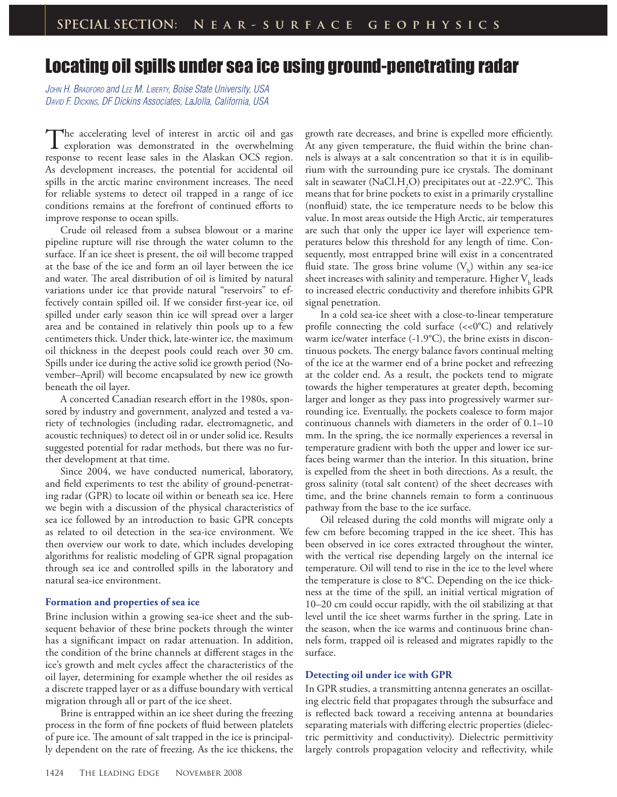### Locating oil spills under sea ice using ground-penetrating radar

JOHN H. BRADFORD and LEE M. LIBERTY, Boise State University, USA DAVID F. DICKINS, DF Dickins Associates, LaJolla, California, USA

The accelerating level of interest in arctic oil and gas **L** exploration was demonstrated in the overwhelming response to recent lease sales in the Alaskan OCS region. As development increases, the potential for accidental oil spills in the arctic marine environment increases. The need for reliable systems to detect oil trapped in a range of ice conditions remains at the forefront of continued efforts to improve response to ocean spills.

Crude oil released from a subsea blowout or a marine pipeline rupture will rise through the water column to the surface. If an ice sheet is present, the oil will become trapped at the base of the ice and form an oil layer between the ice and water. The areal distribution of oil is limited by natural variations under ice that provide natural "reservoirs" to effectively contain spilled oil. If we consider first-year ice, oil spilled under early season thin ice will spread over a larger area and be contained in relatively thin pools up to a few centimeters thick. Under thick, late-winter ice, the maximum oil thickness in the deepest pools could reach over 30 cm. Spills under ice during the active solid ice growth period (November–April) will become encapsulated by new ice growth beneath the oil layer.

A concerted Canadian research effort in the 1980s, sponsored by industry and government, analyzed and tested a variety of technologies (including radar, electromagnetic, and acoustic techniques) to detect oil in or under solid ice. Results suggested potential for radar methods, but there was no further development at that time.

Since 2004, we have conducted numerical, laboratory, and field experiments to test the ability of ground-penetrating radar (GPR) to locate oil within or beneath sea ice. Here we begin with a discussion of the physical characteristics of sea ice followed by an introduction to basic GPR concepts as related to oil detection in the sea-ice environment. We then overview our work to date, which includes developing algorithms for realistic modeling of GPR signal propagation through sea ice and controlled spills in the laboratory and natural sea-ice environment.

#### **Formation and properties of sea ice**

Brine inclusion within a growing sea-ice sheet and the subsequent behavior of these brine pockets through the winter has a significant impact on radar attenuation. In addition, the condition of the brine channels at different stages in the ice's growth and melt cycles affect the characteristics of the oil layer, determining for example whether the oil resides as a discrete trapped layer or as a diffuse boundary with vertical migration through all or part of the ice sheet.

Brine is entrapped within an ice sheet during the freezing process in the form of fine pockets of fluid between platelets of pure ice. The amount of salt trapped in the ice is principally dependent on the rate of freezing. As the ice thickens, the

growth rate decreases, and brine is expelled more efficiently. At any given temperature, the fluid within the brine channels is always at a salt concentration so that it is in equilibrium with the surrounding pure ice crystals. The dominant salt in seawater (NaCl.H<sub>2</sub>O) precipitates out at -22.9°C. This means that for brine pockets to exist in a primarily crystalline (nonfluid) state, the ice temperature needs to be below this value. In most areas outside the High Arctic, air temperatures are such that only the upper ice layer will experience temperatures below this threshold for any length of time. Consequently, most entrapped brine will exist in a concentrated fluid state. The gross brine volume  $(V<sub>b</sub>)$  within any sea-ice sheet increases with salinity and temperature. Higher  $\rm V_{\rm b}$  leads to increased electric conductivity and therefore inhibits GPR signal penetration.

In a cold sea-ice sheet with a close-to-linear temperature profile connecting the cold surface  $(<\sim 0^{\circ}C$ ) and relatively warm ice/water interface (-1.9°C), the brine exists in discontinuous pockets. The energy balance favors continual melting of the ice at the warmer end of a brine pocket and refreezing at the colder end. As a result, the pockets tend to migrate towards the higher temperatures at greater depth, becoming larger and longer as they pass into progressively warmer surrounding ice. Eventually, the pockets coalesce to form major continuous channels with diameters in the order of 0.1–10 mm. In the spring, the ice normally experiences a reversal in temperature gradient with both the upper and lower ice surfaces being warmer than the interior. In this situation, brine is expelled from the sheet in both directions. As a result, the gross salinity (total salt content) of the sheet decreases with time, and the brine channels remain to form a continuous pathway from the base to the ice surface.

Oil released during the cold months will migrate only a few cm before becoming trapped in the ice sheet. This has been observed in ice cores extracted throughout the winter, with the vertical rise depending largely on the internal ice temperature. Oil will tend to rise in the ice to the level where the temperature is close to 8°C. Depending on the ice thickness at the time of the spill, an initial vertical migration of 10–20 cm could occur rapidly, with the oil stabilizing at that level until the ice sheet warms further in the spring. Late in the season, when the ice warms and continuous brine channels form, trapped oil is released and migrates rapidly to the surface.

#### **Detecting oil under ice with GPR**

In GPR studies, a transmitting antenna generates an oscillating electric field that propagates through the subsurface and is reflected back toward a receiving antenna at boundaries separating materials with differing electric properties (dielectric permittivity and conductivity). Dielectric permittivity largely controls propagation velocity and reflectivity, while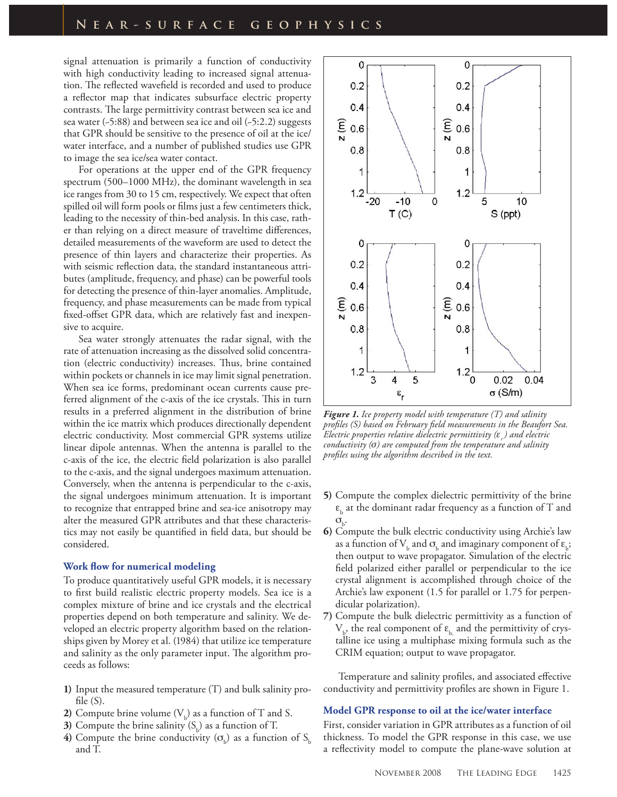signal attenuation is primarily a function of conductivity with high conductivity leading to increased signal attenuation. The reflected wavefield is recorded and used to produce a reflector map that indicates subsurface electric property contrasts. The large permittivity contrast between sea ice and sea water  $(-5.88)$  and between sea ice and oil  $(-5.2.2)$  suggests that GPR should be sensitive to the presence of oil at the ice/ water interface, and a number of published studies use GPR to image the sea ice/sea water contact.

For operations at the upper end of the GPR frequency spectrum (500–1000 MHz), the dominant wavelength in sea ice ranges from 30 to 15 cm, respectively. We expect that often spilled oil will form pools or films just a few centimeters thick, leading to the necessity of thin-bed analysis. In this case, rather than relying on a direct measure of traveltime differences, detailed measurements of the waveform are used to detect the presence of thin layers and characterize their properties. As with seismic reflection data, the standard instantaneous attributes (amplitude, frequency, and phase) can be powerful tools for detecting the presence of thin-layer anomalies. Amplitude, frequency, and phase measurements can be made from typical fixed-offset GPR data, which are relatively fast and inexpensive to acquire.

Sea water strongly attenuates the radar signal, with the rate of attenuation increasing as the dissolved solid concentration (electric conductivity) increases. Thus, brine contained within pockets or channels in ice may limit signal penetration. When sea ice forms, predominant ocean currents cause preferred alignment of the c-axis of the ice crystals. This in turn results in a preferred alignment in the distribution of brine within the ice matrix which produces directionally dependent electric conductivity. Most commercial GPR systems utilize linear dipole antennas. When the antenna is parallel to the c-axis of the ice, the electric field polarization is also parallel to the c-axis, and the signal undergoes maximum attenuation. Conversely, when the antenna is perpendicular to the c-axis, the signal undergoes minimum attenuation. It is important to recognize that entrapped brine and sea-ice anisotropy may alter the measured GPR attributes and that these characteristics may not easily be quantified in field data, but should be considered.

#### **Work flow for numerical modeling**

To produce quantitatively useful GPR models, it is necessary to first build realistic electric property models. Sea ice is a complex mixture of brine and ice crystals and the electrical properties depend on both temperature and salinity. We developed an electric property algorithm based on the relationships given by Morey et al. (1984) that utilize ice temperature and salinity as the only parameter input. The algorithm proceeds as follows:

- **1)** Input the measured temperature (T) and bulk salinity profile  $(S)$ .
- **2)** Compute brine volume  $(V_b)$  as a function of T and S.
- **3)** Compute the brine salinity  $(S_b)$  as a function of T.
- **4)** Compute the brine conductivity  $(\sigma_b)$  as a function of  $S_b$ and T.



*Figure 1. Ice property model with temperature (T) and salinity*  profiles (S) based on February field measurements in the Beaufort Sea. *Electric properties relative dielectric permittivity (ε) and electric conductivity (*σ*) are computed from the temperature and salinity profi les using the algorithm described in the text.*

- **5)** Compute the complex dielectric permittivity of the brine  $\boldsymbol{\epsilon}_{\text{b}}$  at the dominant radar frequency as a function of T and  $\sigma_{\rm b}$ .
- **6)** Compute the bulk electric conductivity using Archie's law as a function of  $V_{b}$  and  $\sigma_{b}$  and imaginary component of  $\epsilon_{b}$ ; then output to wave propagator. Simulation of the electric field polarized either parallel or perpendicular to the ice crystal alignment is accomplished through choice of the Archie's law exponent (1.5 for parallel or 1.75 for perpendicular polarization).
- **7)** Compute the bulk dielectric permittivity as a function of  $V_{b}$ , the real component of  $\varepsilon_{b}$  and the permittivity of crystalline ice using a multiphase mixing formula such as the CRIM equation; output to wave propagator.

Temperature and salinity profiles, and associated effective conductivity and permittivity profiles are shown in Figure 1.

#### **Model GPR response to oil at the ice/water interface**

First, consider variation in GPR attributes as a function of oil thickness. To model the GPR response in this case, we use a reflectivity model to compute the plane-wave solution at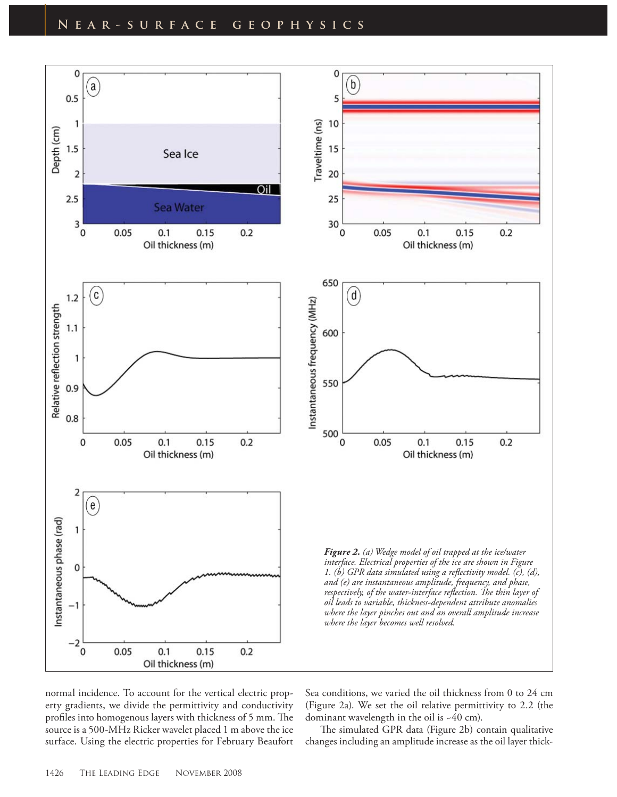

normal incidence. To account for the vertical electric property gradients, we divide the permittivity and conductivity profiles into homogenous layers with thickness of 5 mm. The source is a 500-MHz Ricker wavelet placed 1 m above the ice surface. Using the electric properties for February Beaufort

Sea conditions, we varied the oil thickness from 0 to 24 cm (Figure 2a). We set the oil relative permittivity to 2.2 (the dominant wavelength in the oil is ~40 cm).

The simulated GPR data (Figure 2b) contain qualitative changes including an amplitude increase as the oil layer thick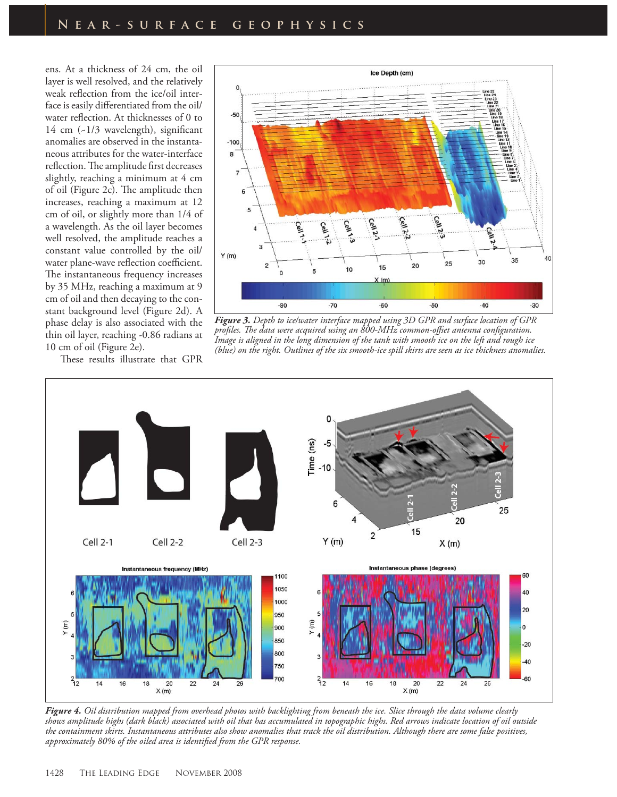ens. At a thickness of 24 cm, the oil layer is well resolved, and the relatively weak reflection from the ice/oil interface is easily differentiated from the oil/ water reflection. At thicknesses of 0 to 14 cm  $(-1/3$  wavelength), significant anomalies are observed in the instantaneous attributes for the water-interface reflection. The amplitude first decreases slightly, reaching a minimum at 4 cm of oil (Figure 2c). The amplitude then increases, reaching a maximum at 12 cm of oil, or slightly more than 1/4 of a wavelength. As the oil layer becomes well resolved, the amplitude reaches a constant value controlled by the oil/ water plane-wave reflection coefficient. The instantaneous frequency increases by 35 MHz, reaching a maximum at 9 cm of oil and then decaying to the constant background level (Figure 2d). A phase delay is also associated with the thin oil layer, reaching -0.86 radians at 10 cm of oil (Figure 2e).

These results illustrate that GPR



*Figure 3. Depth to ice/water interface mapped using 3D GPR and surface location of GPR*  profiles. The data were acquired using an 800-MHz common-offset antenna configuration. *Image is aligned in the long dimension of the tank with smooth ice on the left and rough ice (blue) on the right. Outlines of the six smooth-ice spill skirts are seen as ice thickness anomalies.*



*Figure 4. Oil distribution mapped from overhead photos with backlighting from beneath the ice. Slice through the data volume clearly shows amplitude highs (dark black) associated with oil that has accumulated in topographic highs. Red arrows indicate location of oil outside the containment skirts. Instantaneous attributes also show anomalies that track the oil distribution. Although there are some false positives,*  approximately 80% of the oiled area is identified from the GPR response.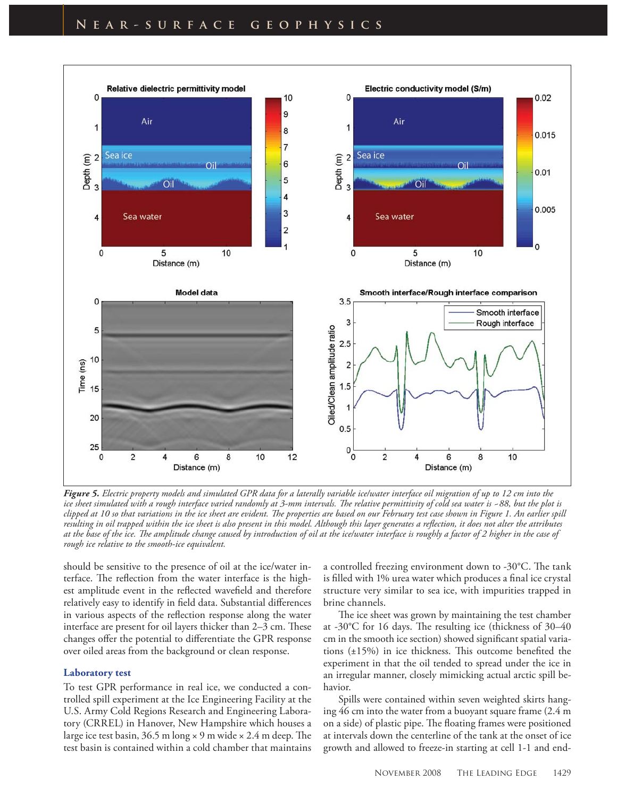

*Figure 5. Electric property models and simulated GPR data for a laterally variable ice/water interface oil migration of up to 12 cm into the*  ice sheet simulated with a rough interface varied randomly at 3-mm intervals. The relative permittivity of cold sea water is ~88, but the plot is clipped at 10 so that variations in the ice sheet are evident. The properties are based on our February test case shown in Figure 1. An earlier spill resulting in oil trapped within the ice sheet is also present in this model. Although this layer generates a reflection, it does not alter the attributes at the base of the ice. The amplitude change caused by introduction of oil at the ice/water interface is roughly a factor of 2 higher in the case of *rough ice relative to the smooth-ice equivalent.*

should be sensitive to the presence of oil at the ice/water interface. The reflection from the water interface is the highest amplitude event in the reflected wavefield and therefore relatively easy to identify in field data. Substantial differences in various aspects of the reflection response along the water interface are present for oil layers thicker than 2–3 cm. These changes offer the potential to differentiate the GPR response over oiled areas from the background or clean response.

#### **Laboratory test**

To test GPR performance in real ice, we conducted a controlled spill experiment at the Ice Engineering Facility at the U.S. Army Cold Regions Research and Engineering Laboratory (CRREL) in Hanover, New Hampshire which houses a large ice test basin, 36.5 m long  $\times$  9 m wide  $\times$  2.4 m deep. The test basin is contained within a cold chamber that maintains a controlled freezing environment down to  $-30^{\circ}$ C. The tank is filled with 1% urea water which produces a final ice crystal structure very similar to sea ice, with impurities trapped in brine channels.

The ice sheet was grown by maintaining the test chamber at -30°C for 16 days. The resulting ice (thickness of  $30-40$ cm in the smooth ice section) showed significant spatial variations  $(\pm 15\%)$  in ice thickness. This outcome benefited the experiment in that the oil tended to spread under the ice in an irregular manner, closely mimicking actual arctic spill behavior.

Spills were contained within seven weighted skirts hanging 46 cm into the water from a buoyant square frame (2.4 m on a side) of plastic pipe. The floating frames were positioned at intervals down the centerline of the tank at the onset of ice growth and allowed to freeze-in starting at cell 1-1 and end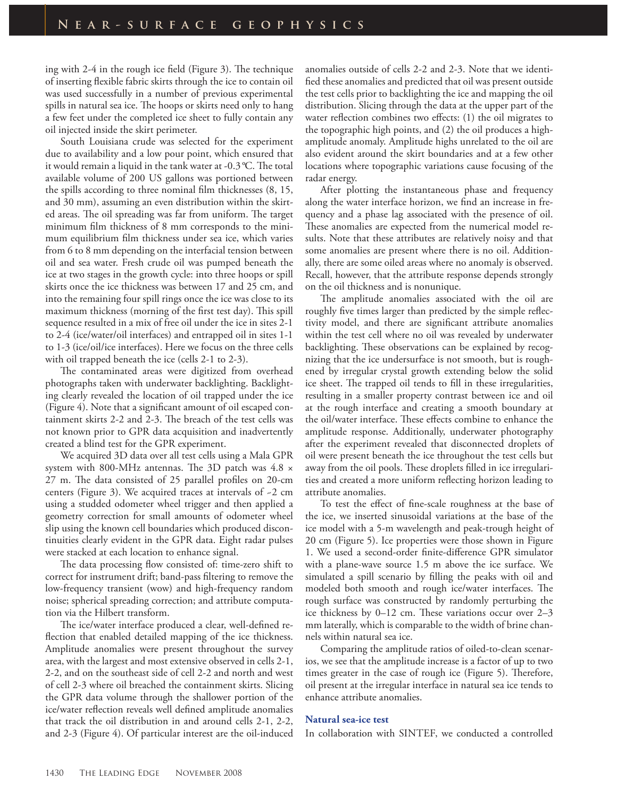ing with 2-4 in the rough ice field (Figure 3). The technique of inserting flexible fabric skirts through the ice to contain oil was used successfully in a number of previous experimental spills in natural sea ice. The hoops or skirts need only to hang a few feet under the completed ice sheet to fully contain any oil injected inside the skirt perimeter.

South Louisiana crude was selected for the experiment due to availability and a low pour point, which ensured that it would remain a liquid in the tank water at -0.3 °C. The total available volume of 200 US gallons was portioned between the spills according to three nominal film thicknesses  $(8, 15,$ and 30 mm), assuming an even distribution within the skirted areas. The oil spreading was far from uniform. The target minimum film thickness of 8 mm corresponds to the minimum equilibrium film thickness under sea ice, which varies from 6 to 8 mm depending on the interfacial tension between oil and sea water. Fresh crude oil was pumped beneath the ice at two stages in the growth cycle: into three hoops or spill skirts once the ice thickness was between 17 and 25 cm, and into the remaining four spill rings once the ice was close to its maximum thickness (morning of the first test day). This spill sequence resulted in a mix of free oil under the ice in sites 2-1 to 2-4 (ice/water/oil interfaces) and entrapped oil in sites 1-1 to 1-3 (ice/oil/ice interfaces). Here we focus on the three cells with oil trapped beneath the ice (cells 2-1 to 2-3).

The contaminated areas were digitized from overhead photographs taken with underwater backlighting. Backlighting clearly revealed the location of oil trapped under the ice (Figure 4). Note that a significant amount of oil escaped containment skirts 2-2 and 2-3. The breach of the test cells was not known prior to GPR data acquisition and inadvertently created a blind test for the GPR experiment.

We acquired 3D data over all test cells using a Mala GPR system with 800-MHz antennas. The 3D patch was  $4.8 \times$  $27$  m. The data consisted of  $25$  parallel profiles on  $20$ -cm centers (Figure 3). We acquired traces at intervals of ~2 cm using a studded odometer wheel trigger and then applied a geometry correction for small amounts of odometer wheel slip using the known cell boundaries which produced discontinuities clearly evident in the GPR data. Eight radar pulses were stacked at each location to enhance signal.

The data processing flow consisted of: time-zero shift to correct for instrument drift; band-pass filtering to remove the low-frequency transient (wow) and high-frequency random noise; spherical spreading correction; and attribute computation via the Hilbert transform.

The ice/water interface produced a clear, well-defined reflection that enabled detailed mapping of the ice thickness. Amplitude anomalies were present throughout the survey area, with the largest and most extensive observed in cells 2-1, 2-2, and on the southeast side of cell 2-2 and north and west of cell 2-3 where oil breached the containment skirts. Slicing the GPR data volume through the shallower portion of the ice/water reflection reveals well defined amplitude anomalies that track the oil distribution in and around cells 2-1, 2-2, and 2-3 (Figure 4). Of particular interest are the oil-induced

anomalies outside of cells 2-2 and 2-3. Note that we identified these anomalies and predicted that oil was present outside the test cells prior to backlighting the ice and mapping the oil distribution. Slicing through the data at the upper part of the water reflection combines two effects:  $(1)$  the oil migrates to the topographic high points, and (2) the oil produces a highamplitude anomaly. Amplitude highs unrelated to the oil are also evident around the skirt boundaries and at a few other locations where topographic variations cause focusing of the radar energy.

After plotting the instantaneous phase and frequency along the water interface horizon, we find an increase in frequency and a phase lag associated with the presence of oil. These anomalies are expected from the numerical model results. Note that these attributes are relatively noisy and that some anomalies are present where there is no oil. Additionally, there are some oiled areas where no anomaly is observed. Recall, however, that the attribute response depends strongly on the oil thickness and is nonunique.

The amplitude anomalies associated with the oil are roughly five times larger than predicted by the simple reflectivity model, and there are significant attribute anomalies within the test cell where no oil was revealed by underwater backlighting. These observations can be explained by recognizing that the ice undersurface is not smooth, but is roughened by irregular crystal growth extending below the solid ice sheet. The trapped oil tends to fill in these irregularities, resulting in a smaller property contrast between ice and oil at the rough interface and creating a smooth boundary at the oil/water interface. These effects combine to enhance the amplitude response. Additionally, underwater photography after the experiment revealed that disconnected droplets of oil were present beneath the ice throughout the test cells but away from the oil pools. These droplets filled in ice irregularities and created a more uniform reflecting horizon leading to attribute anomalies.

To test the effect of fine-scale roughness at the base of the ice, we inserted sinusoidal variations at the base of the ice model with a 5-m wavelength and peak-trough height of 20 cm (Figure 5). Ice properties were those shown in Figure 1. We used a second-order finite-difference GPR simulator with a plane-wave source 1.5 m above the ice surface. We simulated a spill scenario by filling the peaks with oil and modeled both smooth and rough ice/water interfaces. The rough surface was constructed by randomly perturbing the ice thickness by  $0-12$  cm. These variations occur over  $2-3$ mm laterally, which is comparable to the width of brine channels within natural sea ice.

Comparing the amplitude ratios of oiled-to-clean scenarios, we see that the amplitude increase is a factor of up to two times greater in the case of rough ice (Figure 5). Therefore, oil present at the irregular interface in natural sea ice tends to enhance attribute anomalies.

#### **Natural sea-ice test**

In collaboration with SINTEF, we conducted a controlled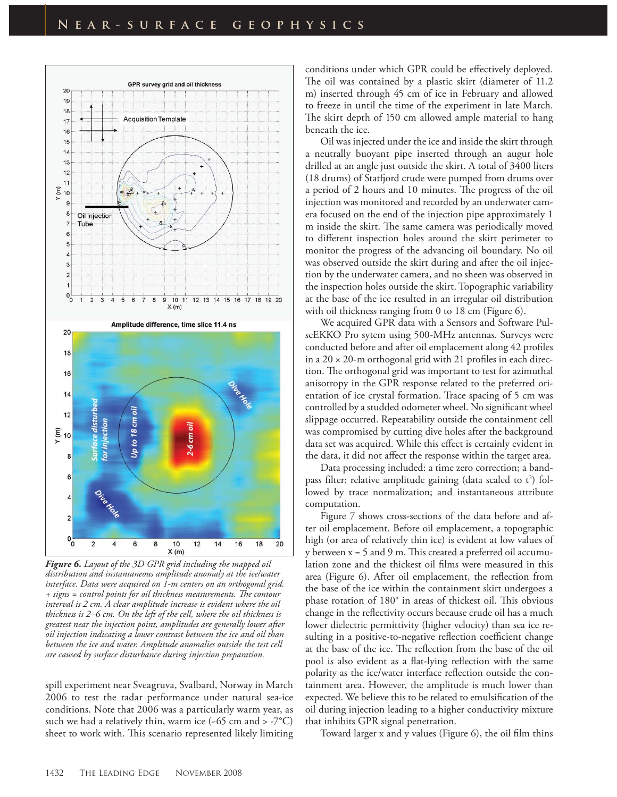

*Figure 6. Layout of the 3D GPR grid including the mapped oil distribution and instantaneous amplitude anomaly at the ice/water interface. Data were acquired on 1-m centers on an orthogonal grid.*  + signs = control points for oil thickness measurements. The contour *interval is 2 cm. A clear amplitude increase is evident where the oil thickness is 2–6 cm. On the left of the cell, where the oil thickness is greatest near the injection point, amplitudes are generally lower after oil injection indicating a lower contrast between the ice and oil than between the ice and water. Amplitude anomalies outside the test cell are caused by surface disturbance during injection preparation.*

spill experiment near Sveagruva, Svalbard, Norway in March 2006 to test the radar performance under natural sea-ice conditions. Note that 2006 was a particularly warm year, as such we had a relatively thin, warm ice  $(-65 \text{ cm and} > -7^{\circ}\text{C})$ sheet to work with. This scenario represented likely limiting conditions under which GPR could be effectively deployed. The oil was contained by a plastic skirt (diameter of 11.2) m) inserted through 45 cm of ice in February and allowed to freeze in until the time of the experiment in late March. The skirt depth of 150 cm allowed ample material to hang beneath the ice.

Oil was injected under the ice and inside the skirt through a neutrally buoyant pipe inserted through an augur hole drilled at an angle just outside the skirt. A total of 3400 liters (18 drums) of Statfjord crude were pumped from drums over a period of 2 hours and 10 minutes. The progress of the oil injection was monitored and recorded by an underwater camera focused on the end of the injection pipe approximately 1 m inside the skirt. The same camera was periodically moved to different inspection holes around the skirt perimeter to monitor the progress of the advancing oil boundary. No oil was observed outside the skirt during and after the oil injection by the underwater camera, and no sheen was observed in the inspection holes outside the skirt. Topographic variability at the base of the ice resulted in an irregular oil distribution with oil thickness ranging from 0 to 18 cm (Figure 6).

We acquired GPR data with a Sensors and Software PulseEKKO Pro sytem using 500-MHz antennas. Surveys were conducted before and after oil emplacement along 42 profiles in a  $20 \times 20$ -m orthogonal grid with 21 profiles in each direction. The orthogonal grid was important to test for azimuthal anisotropy in the GPR response related to the preferred orientation of ice crystal formation. Trace spacing of 5 cm was controlled by a studded odometer wheel. No significant wheel slippage occurred. Repeatability outside the containment cell was compromised by cutting dive holes after the background data set was acquired. While this effect is certainly evident in the data, it did not affect the response within the target area.

Data processing included: a time zero correction; a bandpass filter; relative amplitude gaining (data scaled to  $t^2$ ) followed by trace normalization; and instantaneous attribute computation.

Figure 7 shows cross-sections of the data before and after oil emplacement. Before oil emplacement, a topographic high (or area of relatively thin ice) is evident at low values of  $y$  between  $x = 5$  and 9 m. This created a preferred oil accumulation zone and the thickest oil films were measured in this area (Figure 6). After oil emplacement, the reflection from the base of the ice within the containment skirt undergoes a phase rotation of 180° in areas of thickest oil. This obvious change in the reflectivity occurs because crude oil has a much lower dielectric permittivity (higher velocity) than sea ice resulting in a positive-to-negative reflection coefficient change at the base of the ice. The reflection from the base of the oil pool is also evident as a flat-lying reflection with the same polarity as the ice/water interface reflection outside the containment area. However, the amplitude is much lower than expected. We believe this to be related to emulsification of the oil during injection leading to a higher conductivity mixture that inhibits GPR signal penetration.

Toward larger x and y values (Figure 6), the oil film thins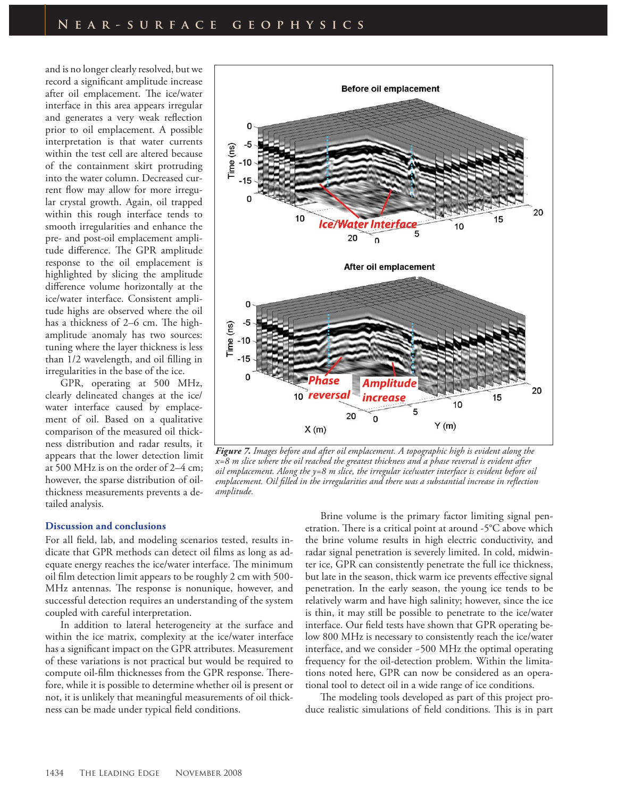and is no longer clearly resolved, but we record a significant amplitude increase after oil emplacement. The ice/water interface in this area appears irregular and generates a very weak reflection prior to oil emplacement. A possible interpretation is that water currents within the test cell are altered because of the containment skirt protruding into the water column. Decreased current flow may allow for more irregular crystal growth. Again, oil trapped within this rough interface tends to smooth irregularities and enhance the pre- and post-oil emplacement amplitude difference. The GPR amplitude response to the oil emplacement is highlighted by slicing the amplitude difference volume horizontally at the ice/water interface. Consistent amplitude highs are observed where the oil has a thickness of 2–6 cm. The highamplitude anomaly has two sources: tuning where the layer thickness is less than 1/2 wavelength, and oil filling in irregularities in the base of the ice.

GPR, operating at 500 MHz, clearly delineated changes at the ice/ water interface caused by emplacement of oil. Based on a qualitative comparison of the measured oil thickness distribution and radar results, it appears that the lower detection limit at 500 MHz is on the order of 2–4 cm; however, the sparse distribution of oilthickness measurements prevents a detailed analysis.



*Figure 7. Images before and after oil emplacement. A topographic high is evident along the x=8 m slice where the oil reached the greatest thickness and a phase reversal is evident after oil emplacement. Along the y=8 m slice, the irregular ice/water interface is evident before oil emplacement. Oil fi lled in the irregularities and there was a substantial increase in refl ection amplitude.*

#### **Discussion and conclusions**

For all field, lab, and modeling scenarios tested, results indicate that GPR methods can detect oil films as long as adequate energy reaches the ice/water interface. The minimum oil film detection limit appears to be roughly 2 cm with 500-MHz antennas. The response is nonunique, however, and successful detection requires an understanding of the system coupled with careful interpretation.

In addition to lateral heterogeneity at the surface and within the ice matrix, complexity at the ice/water interface has a significant impact on the GPR attributes. Measurement of these variations is not practical but would be required to compute oil-film thicknesses from the GPR response. Therefore, while it is possible to determine whether oil is present or not, it is unlikely that meaningful measurements of oil thickness can be made under typical field conditions.

Brine volume is the primary factor limiting signal penetration. There is a critical point at around  $-5^{\circ}$ C above which the brine volume results in high electric conductivity, and radar signal penetration is severely limited. In cold, midwinter ice, GPR can consistently penetrate the full ice thickness, but late in the season, thick warm ice prevents effective signal penetration. In the early season, the young ice tends to be relatively warm and have high salinity; however, since the ice is thin, it may still be possible to penetrate to the ice/water interface. Our field tests have shown that GPR operating below 800 MHz is necessary to consistently reach the ice/water interface, and we consider ~500 MHz the optimal operating frequency for the oil-detection problem. Within the limitations noted here, GPR can now be considered as an operational tool to detect oil in a wide range of ice conditions.

The modeling tools developed as part of this project produce realistic simulations of field conditions. This is in part